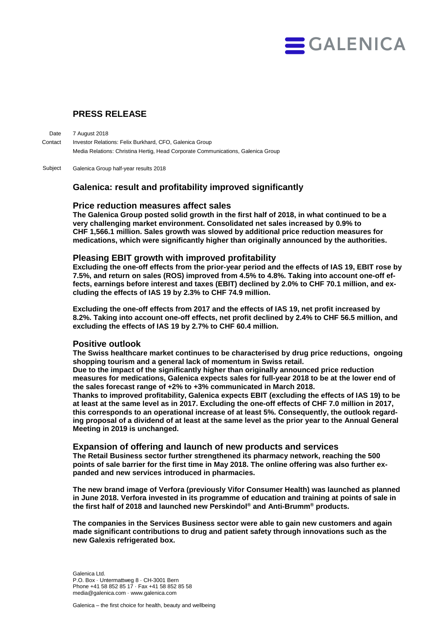

# **PRESS RELEASE**

7 August 2018 Investor Relations: Felix Burkhard, CFO, Galenica Group Media Relations: Christina Hertig, Head Corporate Communications, Galenica Group **Date Contact** 

Galenica Group half-year results 2018 Subject

## **Galenica: result and profitability improved significantly**

## **Price reduction measures affect sales**

**The Galenica Group posted solid growth in the first half of 2018, in what continued to be a very challenging market environment. Consolidated net sales increased by 0.9% to CHF 1,566.1 million. Sales growth was slowed by additional price reduction measures for medications, which were significantly higher than originally announced by the authorities.** 

## **Pleasing EBIT growth with improved profitability**

**Excluding the one-off effects from the prior-year period and the effects of IAS 19, EBIT rose by 7.5%, and return on sales (ROS) improved from 4.5% to 4.8%. Taking into account one-off effects, earnings before interest and taxes (EBIT) declined by 2.0% to CHF 70.1 million, and excluding the effects of IAS 19 by 2.3% to CHF 74.9 million.**

**Excluding the one-off effects from 2017 and the effects of IAS 19, net profit increased by 8.2%. Taking into account one-off effects, net profit declined by 2.4% to CHF 56.5 million, and excluding the effects of IAS 19 by 2.7% to CHF 60.4 million.** 

## **Positive outlook**

**The Swiss healthcare market continues to be characterised by drug price reductions, ongoing shopping tourism and a general lack of momentum in Swiss retail.**

**Due to the impact of the significantly higher than originally announced price reduction measures for medications, Galenica expects sales for full-year 2018 to be at the lower end of the sales forecast range of +2% to +3% communicated in March 2018.** 

**Thanks to improved profitability, Galenica expects EBIT (excluding the effects of IAS 19) to be at least at the same level as in 2017. Excluding the one-off effects of CHF 7.0 million in 2017, this corresponds to an operational increase of at least 5%. Consequently, the outlook regarding proposal of a dividend of at least at the same level as the prior year to the Annual General Meeting in 2019 is unchanged.**

#### **Expansion of offering and launch of new products and services**

**The Retail Business sector further strengthened its pharmacy network, reaching the 500 points of sale barrier for the first time in May 2018. The online offering was also further expanded and new services introduced in pharmacies.** 

**The new brand image of Verfora (previously Vifor Consumer Health) was launched as planned in June 2018. Verfora invested in its programme of education and training at points of sale in the first half of 2018 and launched new Perskindol® and Anti-Brumm® products.**

**The companies in the Services Business sector were able to gain new customers and again made significant contributions to drug and patient safety through innovations such as the new Galexis refrigerated box.**

Galenica Ltd. P.O. Box · Untermattweg 8 · CH-3001 Bern Phone +41 58 852 85 17 · Fax +41 58 852 85 58 media@galenica.com · www.galenica.com

Galenica – the first choice for health, beauty and wellbeing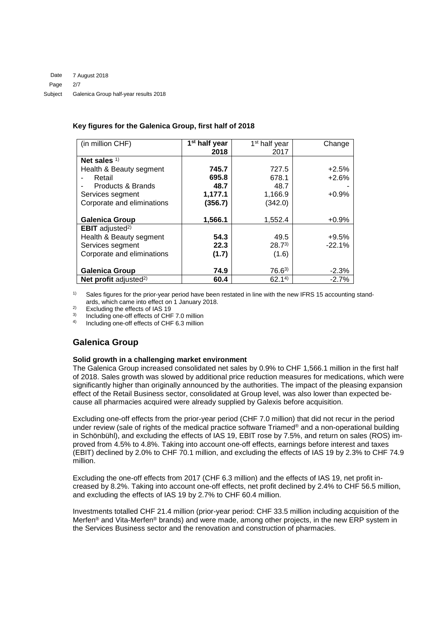### **Key figures for the Galenica Group, first half of 2018**

| (in million CHF)                   | 1 <sup>st</sup> half year | 1 <sup>st</sup> half year | Change   |
|------------------------------------|---------------------------|---------------------------|----------|
|                                    | 2018                      | 2017                      |          |
| Net sales $1$                      |                           |                           |          |
| Health & Beauty segment            | 745.7                     | 727.5                     | $+2.5%$  |
| Retail                             | 695.8                     | 678.1                     | $+2.6%$  |
| Products & Brands                  | 48.7                      | 48.7                      |          |
| Services segment                   | 1,177.1                   | 1,166.9                   | $+0.9%$  |
| Corporate and eliminations         | (356.7)                   | (342.0)                   |          |
|                                    |                           |                           |          |
| <b>Galenica Group</b>              | 1,566.1                   | 1,552.4                   | $+0.9%$  |
| <b>EBIT</b> adjusted <sup>2)</sup> |                           |                           |          |
| Health & Beauty segment            | 54.3                      | 49.5                      | $+9.5%$  |
| Services segment                   | 22.3                      | $28.7^{3}$                | $-22.1%$ |
| Corporate and eliminations         | (1.7)                     | (1.6)                     |          |
|                                    |                           |                           |          |
| <b>Galenica Group</b>              | 74.9                      | $76.6^{3}$                | $-2.3%$  |
| Net profit adjusted <sup>2)</sup>  | 60.4                      | 62.14                     | $-2.7%$  |

<sup>1)</sup> Sales figures for the prior-year period have been restated in line with the new IFRS 15 accounting standards, which came into effect on 1 January 2018.

<sup>2)</sup> Excluding the effects of IAS 19<br><sup>3)</sup> Including ane of effects of CUI

 $3)$  Including one-off effects of CHF 7.0 million

4) Including one-off effects of CHF 6.3 million

# **Galenica Group**

#### **Solid growth in a challenging market environment**

The Galenica Group increased consolidated net sales by 0.9% to CHF 1,566.1 million in the first half of 2018. Sales growth was slowed by additional price reduction measures for medications, which were significantly higher than originally announced by the authorities. The impact of the pleasing expansion effect of the Retail Business sector, consolidated at Group level, was also lower than expected because all pharmacies acquired were already supplied by Galexis before acquisition.

Excluding one-off effects from the prior-year period (CHF 7.0 million) that did not recur in the period under review (sale of rights of the medical practice software Triamed® and a non-operational building in Schönbühl), and excluding the effects of IAS 19, EBIT rose by 7.5%, and return on sales (ROS) improved from 4.5% to 4.8%. Taking into account one-off effects, earnings before interest and taxes (EBIT) declined by 2.0% to CHF 70.1 million, and excluding the effects of IAS 19 by 2.3% to CHF 74.9 million.

Excluding the one-off effects from 2017 (CHF 6.3 million) and the effects of IAS 19, net profit increased by 8.2%. Taking into account one-off effects, net profit declined by 2.4% to CHF 56.5 million, and excluding the effects of IAS 19 by 2.7% to CHF 60.4 million.

Investments totalled CHF 21.4 million (prior-year period: CHF 33.5 million including acquisition of the Merfen® and Vita-Merfen® brands) and were made, among other projects, in the new ERP system in the Services Business sector and the renovation and construction of pharmacies.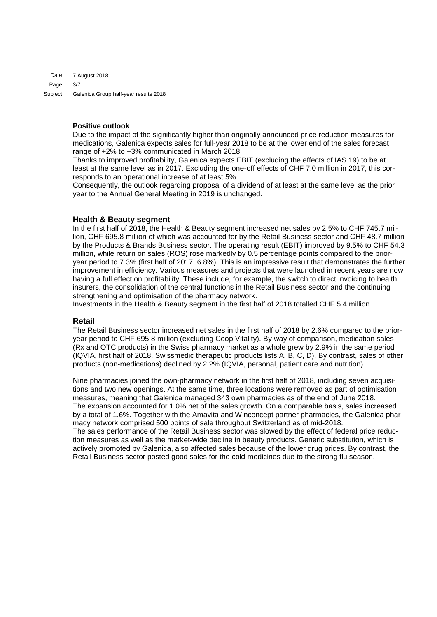7 August 2018 3/7 Galenica Group half-year results 2018 Date Page Subject

## **Positive outlook**

Due to the impact of the significantly higher than originally announced price reduction measures for medications, Galenica expects sales for full-year 2018 to be at the lower end of the sales forecast range of +2% to +3% communicated in March 2018.

Thanks to improved profitability, Galenica expects EBIT (excluding the effects of IAS 19) to be at least at the same level as in 2017. Excluding the one-off effects of CHF 7.0 million in 2017, this corresponds to an operational increase of at least 5%.

Consequently, the outlook regarding proposal of a dividend of at least at the same level as the prior year to the Annual General Meeting in 2019 is unchanged.

## **Health & Beauty segment**

In the first half of 2018, the Health & Beauty segment increased net sales by 2.5% to CHF 745.7 million, CHF 695.8 million of which was accounted for by the Retail Business sector and CHF 48.7 million by the Products & Brands Business sector. The operating result (EBIT) improved by 9.5% to CHF 54.3 million, while return on sales (ROS) rose markedly by 0.5 percentage points compared to the prioryear period to 7.3% (first half of 2017: 6.8%). This is an impressive result that demonstrates the further improvement in efficiency. Various measures and projects that were launched in recent years are now having a full effect on profitability. These include, for example, the switch to direct invoicing to health insurers, the consolidation of the central functions in the Retail Business sector and the continuing strengthening and optimisation of the pharmacy network.

Investments in the Health & Beauty segment in the first half of 2018 totalled CHF 5.4 million.

#### **Retail**

The Retail Business sector increased net sales in the first half of 2018 by 2.6% compared to the prioryear period to CHF 695.8 million (excluding Coop Vitality). By way of comparison, medication sales (Rx and OTC products) in the Swiss pharmacy market as a whole grew by 2.9% in the same period (IQVIA, first half of 2018, Swissmedic therapeutic products lists A, B, C, D). By contrast, sales of other products (non-medications) declined by 2.2% (IQVIA, personal, patient care and nutrition).

Nine pharmacies joined the own-pharmacy network in the first half of 2018, including seven acquisitions and two new openings. At the same time, three locations were removed as part of optimisation measures, meaning that Galenica managed 343 own pharmacies as of the end of June 2018. The expansion accounted for 1.0% net of the sales growth. On a comparable basis, sales increased by a total of 1.6%. Together with the Amavita and Winconcept partner pharmacies, the Galenica pharmacy network comprised 500 points of sale throughout Switzerland as of mid-2018. The sales performance of the Retail Business sector was slowed by the effect of federal price reduction measures as well as the market-wide decline in beauty products. Generic substitution, which is actively promoted by Galenica, also affected sales because of the lower drug prices. By contrast, the Retail Business sector posted good sales for the cold medicines due to the strong flu season.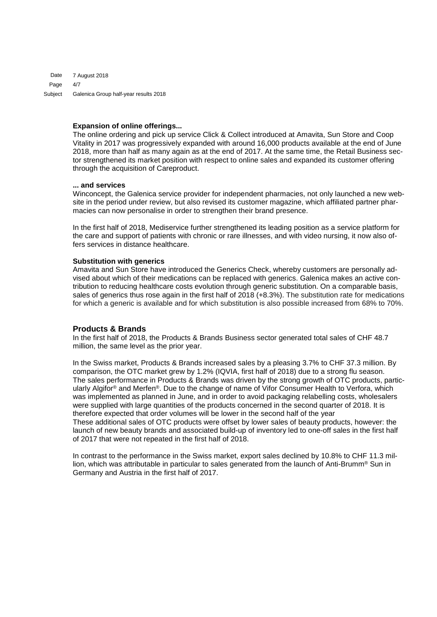7 August 2018 4/7 Galenica Group half-year results 2018 Date Page Subject

#### **Expansion of online offerings...**

The online ordering and pick up service Click & Collect introduced at Amavita, Sun Store and Coop Vitality in 2017 was progressively expanded with around 16,000 products available at the end of June 2018, more than half as many again as at the end of 2017. At the same time, the Retail Business sector strengthened its market position with respect to online sales and expanded its customer offering through the acquisition of Careproduct.

#### **... and services**

Winconcept, the Galenica service provider for independent pharmacies, not only launched a new website in the period under review, but also revised its customer magazine, which affiliated partner pharmacies can now personalise in order to strengthen their brand presence.

In the first half of 2018, Mediservice further strengthened its leading position as a service platform for the care and support of patients with chronic or rare illnesses, and with video nursing, it now also offers services in distance healthcare.

#### **Substitution with generics**

Amavita and Sun Store have introduced the Generics Check, whereby customers are personally advised about which of their medications can be replaced with generics. Galenica makes an active contribution to reducing healthcare costs evolution through generic substitution. On a comparable basis, sales of generics thus rose again in the first half of 2018 (+8.3%). The substitution rate for medications for which a generic is available and for which substitution is also possible increased from 68% to 70%.

#### **Products & Brands**

In the first half of 2018, the Products & Brands Business sector generated total sales of CHF 48.7 million, the same level as the prior year.

In the Swiss market, Products & Brands increased sales by a pleasing 3.7% to CHF 37.3 million. By comparison, the OTC market grew by 1.2% (IQVIA, first half of 2018) due to a strong flu season. The sales performance in Products & Brands was driven by the strong growth of OTC products, particularly Algifor® and Merfen®. Due to the change of name of Vifor Consumer Health to Verfora, which was implemented as planned in June, and in order to avoid packaging relabelling costs, wholesalers were supplied with large quantities of the products concerned in the second quarter of 2018. It is therefore expected that order volumes will be lower in the second half of the year These additional sales of OTC products were offset by lower sales of beauty products, however: the launch of new beauty brands and associated build-up of inventory led to one-off sales in the first half of 2017 that were not repeated in the first half of 2018.

In contrast to the performance in the Swiss market, export sales declined by 10.8% to CHF 11.3 million, which was attributable in particular to sales generated from the launch of Anti-Brumm® Sun in Germany and Austria in the first half of 2017.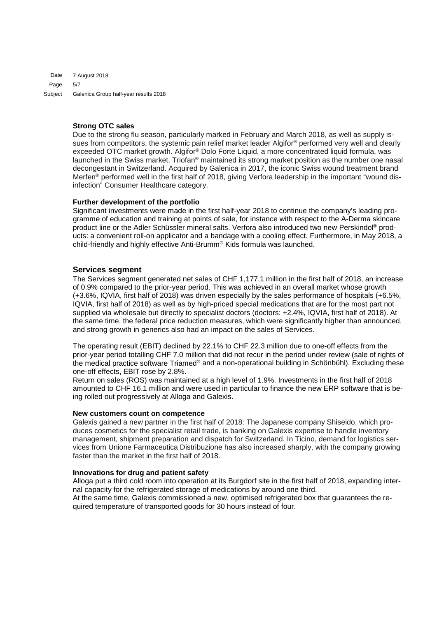7 August 2018 5/7 Galenica Group half-year results 2018 Date Page Subject

## **Strong OTC sales**

Due to the strong flu season, particularly marked in February and March 2018, as well as supply issues from competitors, the systemic pain relief market leader Algifor<sup>®</sup> performed very well and clearly exceeded OTC market growth. Algifor® Dolo Forte Liquid, a more concentrated liquid formula, was launched in the Swiss market. Triofan® maintained its strong market position as the number one nasal decongestant in Switzerland. Acquired by Galenica in 2017, the iconic Swiss wound treatment brand Merfen® performed well in the first half of 2018, giving Verfora leadership in the important "wound disinfection" Consumer Healthcare category.

#### **Further development of the portfolio**

Significant investments were made in the first half-year 2018 to continue the company's leading programme of education and training at points of sale, for instance with respect to the A-Derma skincare product line or the Adler Schüssler mineral salts. Verfora also introduced two new Perskindol® products: a convenient roll-on applicator and a bandage with a cooling effect. Furthermore, in May 2018, a child-friendly and highly effective Anti-Brumm® Kids formula was launched.

#### **Services segment**

The Services segment generated net sales of CHF 1,177.1 million in the first half of 2018, an increase of 0.9% compared to the prior-year period. This was achieved in an overall market whose growth (+3.6%, IQVIA, first half of 2018) was driven especially by the sales performance of hospitals (+6.5%, IQVIA, first half of 2018) as well as by high-priced special medications that are for the most part not supplied via wholesale but directly to specialist doctors (doctors: +2.4%, IQVIA, first half of 2018). At the same time, the federal price reduction measures, which were significantly higher than announced, and strong growth in generics also had an impact on the sales of Services.

The operating result (EBIT) declined by 22.1% to CHF 22.3 million due to one-off effects from the prior-year period totalling CHF 7.0 million that did not recur in the period under review (sale of rights of the medical practice software Triamed® and a non-operational building in Schönbühl). Excluding these one-off effects, EBIT rose by 2.8%.

Return on sales (ROS) was maintained at a high level of 1.9%. Investments in the first half of 2018 amounted to CHF 16.1 million and were used in particular to finance the new ERP software that is being rolled out progressively at Alloga and Galexis.

#### **New customers count on competence**

Galexis gained a new partner in the first half of 2018: The Japanese company Shiseido, which produces cosmetics for the specialist retail trade, is banking on Galexis expertise to handle inventory management, shipment preparation and dispatch for Switzerland. In Ticino, demand for logistics services from Unione Farmaceutica Distribuzione has also increased sharply, with the company growing faster than the market in the first half of 2018.

#### **Innovations for drug and patient safety**

Alloga put a third cold room into operation at its Burgdorf site in the first half of 2018, expanding internal capacity for the refrigerated storage of medications by around one third. At the same time, Galexis commissioned a new, optimised refrigerated box that guarantees the required temperature of transported goods for 30 hours instead of four.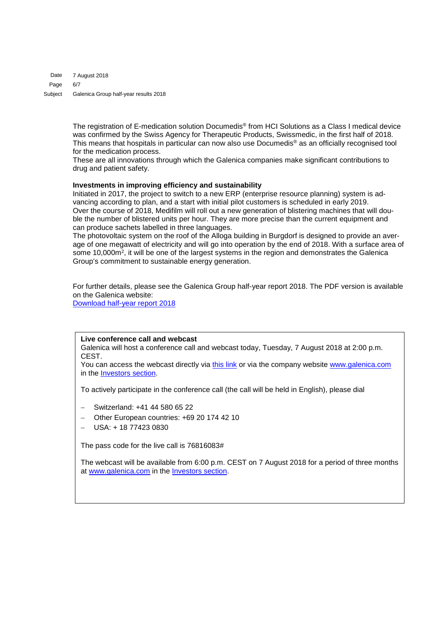7 August 2018 6/7 Galenica Group half-year results 2018 Date Page Subject

> The registration of E-medication solution Documedis® from HCI Solutions as a Class I medical device was confirmed by the Swiss Agency for Therapeutic Products, Swissmedic, in the first half of 2018. This means that hospitals in particular can now also use Documedis® as an officially recognised tool for the medication process.

These are all innovations through which the Galenica companies make significant contributions to drug and patient safety.

#### **Investments in improving efficiency and sustainability**

Initiated in 2017, the project to switch to a new ERP (enterprise resource planning) system is advancing according to plan, and a start with initial pilot customers is scheduled in early 2019. Over the course of 2018, Medifilm will roll out a new generation of blistering machines that will double the number of blistered units per hour. They are more precise than the current equipment and can produce sachets labelled in three languages.

The photovoltaic system on the roof of the Alloga building in Burgdorf is designed to provide an average of one megawatt of electricity and will go into operation by the end of 2018. With a surface area of some 10,000m<sup>2</sup>, it will be one of the largest systems in the region and demonstrates the Galenica Group's commitment to sustainable energy generation.

For further details, please see the Galenica Group half-year report 2018. The PDF version is available on the Galenica website:

[Download half-year report 2018](https://www.galenica.com/galenicaAssets/bin/en/publikationen/half-year-report-2018/galenica_hjb18_e.pdf)

#### **Live conference call and webcast**

Galenica will host a conference call and webcast today, Tuesday, 7 August 2018 at 2:00 p.m. CEST.

You can access the webcast directly via [this link](http://view-w.tv/936-1462-19950/en) or via the company website [www.galenica.com](http://www.galenica.com/) in the [Investors section.](https://www.galenica.com/en/investoren/investoren.php)

To actively participate in the conference call (the call will be held in English), please dial

- − Switzerland: +41 44 580 65 22
- Other European countries: +69 20 174 42 10
- − USA: + 18 77423 0830

The pass code for the live call is 76816083#

The webcast will be available from 6:00 p.m. CEST on 7 August 2018 for a period of three months at [www.galenica.com](http://www.galenica.com/) in the [Investors section.](https://www.galenica.com/en/investoren/investoren.php)